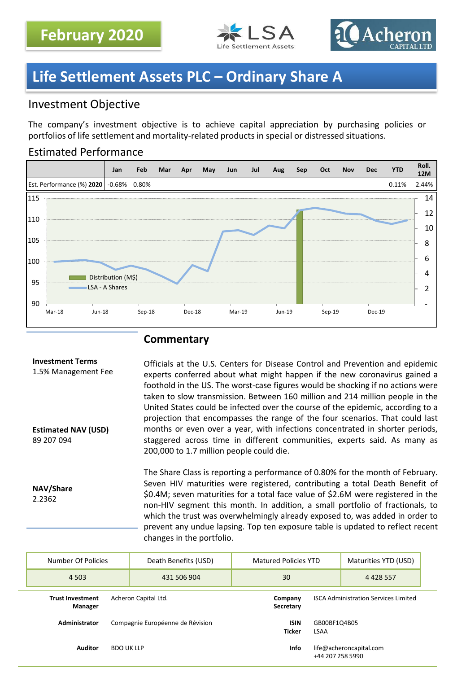



# **Life Settlement Assets PLC – Ordinary Share A**

# Investment Objective

The company's investment objective is to achieve capital appreciation by purchasing policies or portfolios of life settlement and mortality-related products in special or distressed situations.

## Estimated Performance



## **Commentary**

| <b>Investment Terms</b><br>1.5% Management Fee<br><b>Estimated NAV (USD)</b><br>89 207 094 | Officials at the U.S. Centers for Disease Control and Prevention and epidemic<br>experts conferred about what might happen if the new coronavirus gained a<br>foothold in the US. The worst-case figures would be shocking if no actions were<br>taken to slow transmission. Between 160 million and 214 million people in the<br>United States could be infected over the course of the epidemic, according to a<br>projection that encompasses the range of the four scenarios. That could last<br>months or even over a year, with infections concentrated in shorter periods,<br>staggered across time in different communities, experts said. As many as<br>200,000 to 1.7 million people could die. |
|--------------------------------------------------------------------------------------------|-----------------------------------------------------------------------------------------------------------------------------------------------------------------------------------------------------------------------------------------------------------------------------------------------------------------------------------------------------------------------------------------------------------------------------------------------------------------------------------------------------------------------------------------------------------------------------------------------------------------------------------------------------------------------------------------------------------|
| NAV/Share<br>2.2362                                                                        | The Share Class is reporting a performance of 0.80% for the month of February.<br>Seven HIV maturities were registered, contributing a total Death Benefit of<br>\$0.4M; seven maturities for a total face value of \$2.6M were registered in the<br>non-HIV segment this month. In addition, a small portfolio of fractionals, to<br>which the trust was overwhelmingly already exposed to, was added in order to<br>prevent any undue lapsing. Top ten exposure table is updated to reflect recent<br>changes in the portfolio.                                                                                                                                                                         |

| Number Of Policies                                         | Death Benefits (USD)             | Matured Policies YTD |                                             | Maturities YTD (USD)    |  |
|------------------------------------------------------------|----------------------------------|----------------------|---------------------------------------------|-------------------------|--|
| 4 5 0 3                                                    | 431 506 904                      | 30                   |                                             | 4 4 2 8 5 5 7           |  |
| <b>Trust Investment</b><br>Acheron Capital Ltd.<br>Manager |                                  | Company<br>Secretary | <b>ISCA Administration Services Limited</b> |                         |  |
| Administrator                                              | Compagnie Européenne de Révision |                      | GB00BF1Q4B05<br><b>LSAA</b>                 |                         |  |
| <b>Auditor</b>                                             | <b>BDO UK LLP</b>                | <b>Info</b>          | +44 207 258 5990                            | life@acheroncapital.com |  |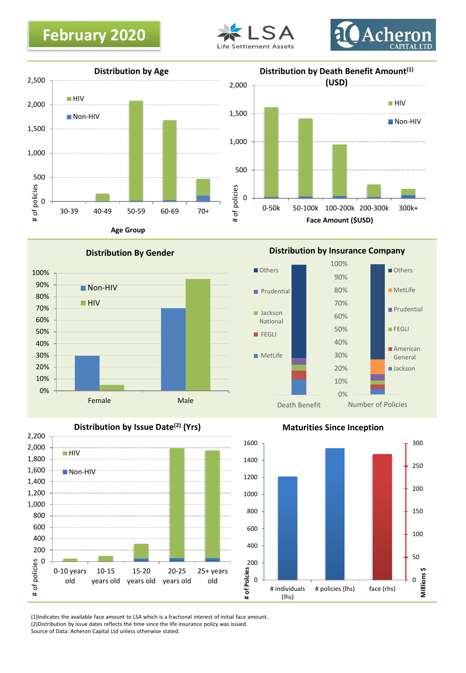







**Age Group**





**Distribution by Insurance Company**





**Maturities Since Inception**



(1)Indicates the available face amount to LSA which is a fractional interest of initial face amount. (2)Distribution by issue dates reflects the time since the life insurance policy was issued. Source of Data: Acheron Capital Ltd unless otherwise stated.